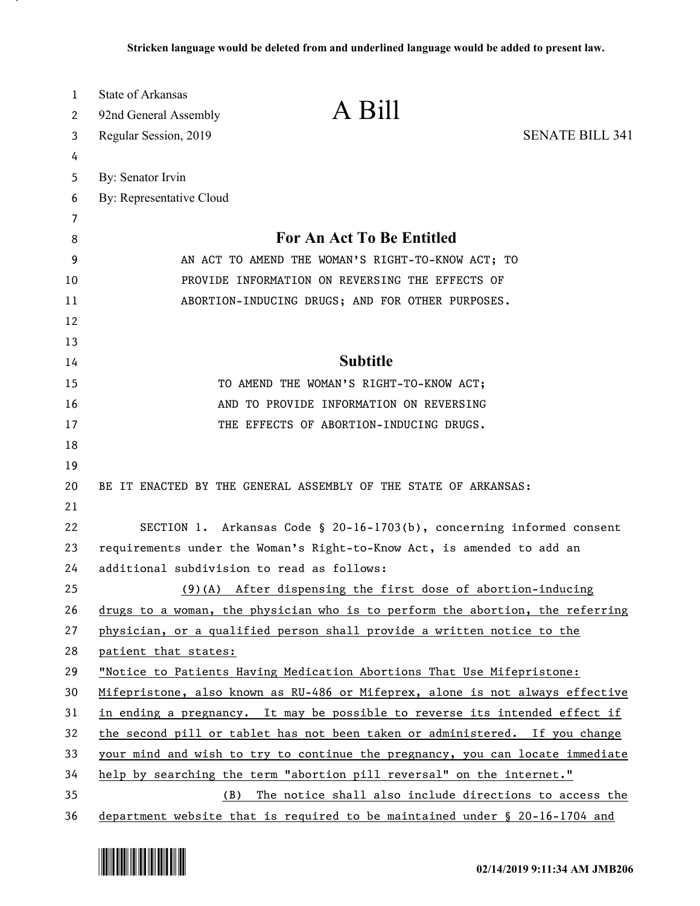| 1        | State of Arkansas                                                                                                                                          | A Bill                                                          |                        |
|----------|------------------------------------------------------------------------------------------------------------------------------------------------------------|-----------------------------------------------------------------|------------------------|
| 2        | 92nd General Assembly                                                                                                                                      |                                                                 |                        |
| 3        | Regular Session, 2019                                                                                                                                      |                                                                 | <b>SENATE BILL 341</b> |
| 4        |                                                                                                                                                            |                                                                 |                        |
| 5        | By: Senator Irvin                                                                                                                                          |                                                                 |                        |
| 6        | By: Representative Cloud                                                                                                                                   |                                                                 |                        |
| 7        |                                                                                                                                                            | <b>For An Act To Be Entitled</b>                                |                        |
| 8        |                                                                                                                                                            |                                                                 |                        |
| 9        | AN ACT TO AMEND THE WOMAN'S RIGHT-TO-KNOW ACT; TO                                                                                                          |                                                                 |                        |
| 10       | PROVIDE INFORMATION ON REVERSING THE EFFECTS OF                                                                                                            |                                                                 |                        |
| 11       |                                                                                                                                                            | ABORTION-INDUCING DRUGS; AND FOR OTHER PURPOSES.                |                        |
| 12       |                                                                                                                                                            |                                                                 |                        |
| 13       |                                                                                                                                                            |                                                                 |                        |
| 14       | <b>Subtitle</b>                                                                                                                                            |                                                                 |                        |
| 15       | TO AMEND THE WOMAN'S RIGHT-TO-KNOW ACT;                                                                                                                    |                                                                 |                        |
| 16       | AND TO PROVIDE INFORMATION ON REVERSING                                                                                                                    |                                                                 |                        |
| 17       |                                                                                                                                                            | THE EFFECTS OF ABORTION-INDUCING DRUGS.                         |                        |
| 18       |                                                                                                                                                            |                                                                 |                        |
| 19       |                                                                                                                                                            |                                                                 |                        |
| 20       |                                                                                                                                                            | BE IT ENACTED BY THE GENERAL ASSEMBLY OF THE STATE OF ARKANSAS: |                        |
| 21       |                                                                                                                                                            |                                                                 |                        |
| 22       | SECTION 1. Arkansas Code § 20-16-1703(b), concerning informed consent                                                                                      |                                                                 |                        |
| 23       | requirements under the Woman's Right-to-Know Act, is amended to add an                                                                                     |                                                                 |                        |
| 24       | additional subdivision to read as follows:<br>$(9)$ (A) After dispensing the first dose of abortion-inducing                                               |                                                                 |                        |
| 25       |                                                                                                                                                            |                                                                 |                        |
| 26       | drugs to a woman, the physician who is to perform the abortion, the referring                                                                              |                                                                 |                        |
| 27       | physician, or a qualified person shall provide a written notice to the                                                                                     |                                                                 |                        |
| 28       | patient that states:                                                                                                                                       |                                                                 |                        |
| 29       | "Notice to Patients Having Medication Abortions That Use Mifepristone:                                                                                     |                                                                 |                        |
| 30       | Mifepristone, also known as RU-486 or Mifeprex, alone is not always effective                                                                              |                                                                 |                        |
| 31       | in ending a pregnancy. It may be possible to reverse its intended effect if<br>the second pill or tablet has not been taken or administered. If you change |                                                                 |                        |
| 32       |                                                                                                                                                            |                                                                 |                        |
| 33       | your mind and wish to try to continue the pregnancy, you can locate immediate                                                                              |                                                                 |                        |
| 34<br>35 | help by searching the term "abortion pill reversal" on the internet."<br>The notice shall also include directions to access the<br>(B)                     |                                                                 |                        |
|          |                                                                                                                                                            |                                                                 |                        |